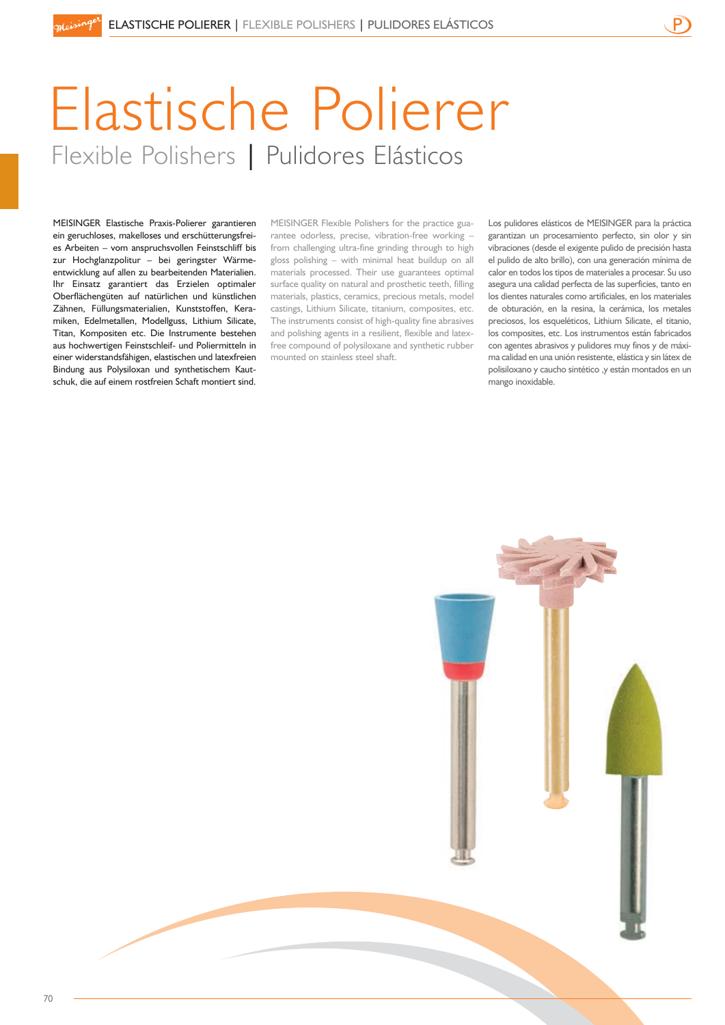# Elastische Polierer Flexible Polishers | Pulidores Elásticos

MEISINGER Elastische Praxis-Polierer garantieren ein geruchloses, makelloses und erschütterungsfreies Arbeiten – vom anspruchsvollen Feinstschliff bis zur Hochglanzpolitur – bei geringster Wärmeentwicklung auf allen zu bearbeitenden Materialien. Ihr Einsatz garantiert das Erzielen optimaler Oberflächengüten auf natürlichen und künstlichen Zähnen, Füllungsmaterialien, Kunststoffen, Keramiken, Edelmetallen, Modellguss, Lithium Silicate, Titan, Kompositen etc. Die Instrumente bestehen aus hochwertigen Feinstschleif- und Poliermitteln in einer widerstandsfähigen, elastischen und latexfreien Bindung aus Polysiloxan und synthetischem Kautschuk, die auf einem rostfreien Schaft montiert sind.

MEISINGER Flexible Polishers for the practice guarantee odorless, precise, vibration-free working – from challenging ultra-fine grinding through to high gloss polishing – with minimal heat buildup on all materials processed. Their use guarantees optimal surface quality on natural and prosthetic teeth, filling materials, plastics, ceramics, precious metals, model castings, Lithium Silicate, titanium, composites, etc. The instruments consist of high-quality fine abrasives and polishing agents in a resilient, flexible and latexfree compound of polysiloxane and synthetic rubber mounted on stainless steel shaft.

Los pulidores elásticos de MEISINGER para la práctica garantizan un procesamiento perfecto, sin olor y sin vibraciones (desde el exigente pulido de precisión hasta el pulido de alto brillo), con una generación mínima de calor en todos los tipos de materiales a procesar. Su uso asegura una calidad perfecta de las superficies, tanto en los dientes naturales como artificiales, en los materiales de obturación, en la resina, la cerámica, los metales preciosos, los esqueléticos, Lithium Silicate, el titanio, los composites, etc. Los instrumentos están fabricados con agentes abrasivos y pulidores muy finos y de máxima calidad en una unión resistente, elástica y sin látex de polisiloxano y caucho sintético ,y están montados en un mango inoxidable.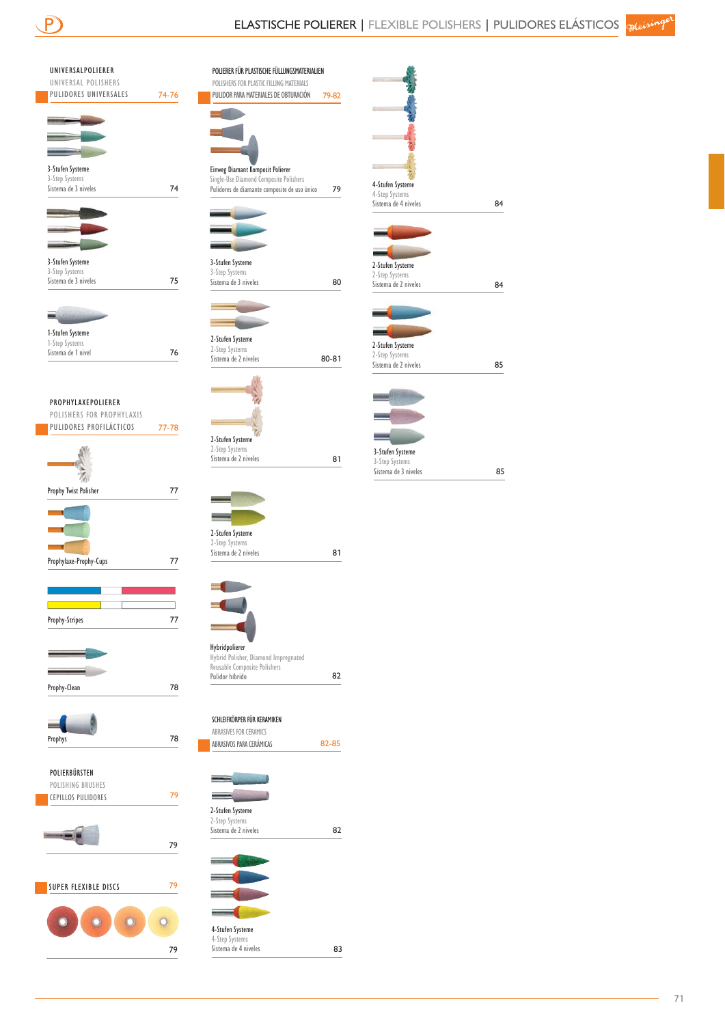| UNIVERSALPOLIERER<br>UNIVERSAL POLISHERS        |       |
|-------------------------------------------------|-------|
| PULIDORES UNIVERSALES                           | 74-76 |
|                                                 |       |
|                                                 |       |
|                                                 |       |
| 3-Stufen Systeme<br>3-Step Systems              |       |
| Sistema de 3 niveles                            | 74    |
|                                                 |       |
|                                                 |       |
| 3-Stufen Systeme                                |       |
| 3-Step Systems<br>Sistema de 3 niveles          |       |
|                                                 | 75    |
| ÷                                               |       |
| 1-Stufen Systeme                                |       |
| 1-Step Systems<br>Sistema de 1 nivel            | 76    |
|                                                 |       |
|                                                 |       |
| PROPHYLAXEPOLIERER<br>POLISHERS FOR PROPHYLAXIS |       |
| PULIDORES PROFILÁCTICOS                         | 77-78 |
|                                                 |       |
|                                                 |       |
| Prophy Twist Polisher                           | 77    |
|                                                 |       |
|                                                 |       |
|                                                 |       |
| Prophylaxe-Prophy-Cups                          | 77    |
|                                                 |       |
|                                                 |       |
| Prophy-Stripes                                  | 77    |
|                                                 |       |
|                                                 |       |
| Prophy-Clean                                    | 78    |
|                                                 |       |
|                                                 |       |
| Prophys                                         | 78    |
|                                                 |       |
| POLIERBÜRSTEN<br>POLISHING BRUSHES              |       |
| <b>CEPILLOS PULIDORES</b>                       | 79    |
|                                                 |       |
|                                                 |       |
|                                                 | 79    |
|                                                 |       |
|                                                 |       |
| SUPER FLEXIBLE DISCS                            | 79    |

79

| POLISHERS FOR PLASTIC FILLING MATERIALS<br>PULIDOR PARA MATERIALES DE OBTURACIÓN       | 79-82 |
|----------------------------------------------------------------------------------------|-------|
|                                                                                        |       |
|                                                                                        |       |
|                                                                                        |       |
| Einweg Diamant Komposit Polierer                                                       |       |
| Single-Use Diamond Composite Polishers<br>Pulidores de diamante composite de uso único | 79    |
|                                                                                        |       |
|                                                                                        |       |
|                                                                                        |       |
|                                                                                        |       |
| 3-Stufen Systeme<br>3-Step Systems                                                     |       |
| Sistema de 3 niveles                                                                   | 80    |
|                                                                                        |       |
|                                                                                        |       |
| 2-Stufen Systeme                                                                       |       |
| 2-Step Systems<br>Sistema de 2 niveles                                                 | 80-81 |
|                                                                                        |       |
|                                                                                        |       |
|                                                                                        |       |
|                                                                                        |       |
| 2-Stufen Systeme<br>2-Step Systems                                                     |       |
| Sistema de 2 niveles                                                                   | 81    |
|                                                                                        |       |
|                                                                                        |       |
|                                                                                        |       |
| 2-Stufen Systeme                                                                       |       |
| 2-Step Systems                                                                         |       |
| Sistema de 2 niveles                                                                   | 81    |
|                                                                                        |       |
|                                                                                        |       |
|                                                                                        |       |
|                                                                                        |       |
| Hybridpolierer                                                                         |       |
| Hybrid Polisher, Diamond Impregnated<br>Reusable Composite Polishers                   |       |
| Pulidor híbrido                                                                        | 82    |
|                                                                                        |       |
| SCHLEIFKÖRPER FÜR KERAMIKEN                                                            |       |
| ABRASIVES FOR CERAMICS<br>ABRASIVOS PARA CERÁMICAS                                     | 82-85 |
|                                                                                        |       |
| --                                                                                     |       |
|                                                                                        |       |
| 2-Stufen Systeme                                                                       |       |
| 2-Step Systems<br>Sistema de 2 niveles                                                 | 82    |
|                                                                                        |       |
|                                                                                        |       |
|                                                                                        |       |
|                                                                                        |       |
|                                                                                        |       |
| 4-Stufen Systeme                                                                       |       |
| 4-Step Systems<br>Sistema de 4 niveles                                                 | 83    |
|                                                                                        |       |

| 4-Stufen Systeme     |    |
|----------------------|----|
| 4-Step Systems       |    |
| Sistema de 4 niveles | 84 |
|                      |    |
| 2-Stufen Systeme     |    |
| 2-Step Systems       |    |
| Sistema de 2 niveles | 84 |
|                      |    |
|                      |    |
|                      |    |
|                      |    |
| 2-Stufen Systeme     |    |
| 2-Step Systems       |    |
| Sistema de 2 niveles | 85 |
|                      |    |
|                      |    |
|                      |    |
|                      |    |
|                      |    |
| 3-Stufen Systeme     |    |
| 3-Step Systems       |    |
| Sistema de 3 niveles | 85 |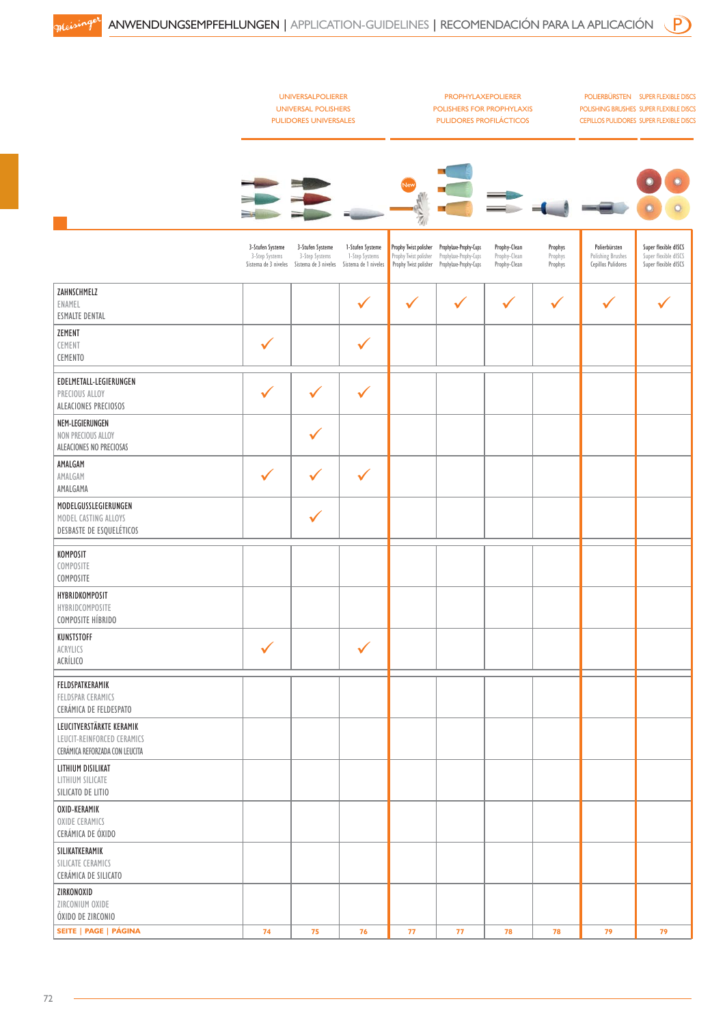|                                                                                          |                                                            | <b>UNIVERSALPOLIERER</b><br><b>UNIVERSAL POLISHERS</b><br><b>PULIDORES UNIVERSALES</b> |                                                            |                                                                         | <b>PROPHYLAXEPOLIERER</b><br>POLISHERS FOR PROPHYLAXIS<br><b>PULIDORES PROFILÁCTICOS</b> |                                              |                               |                                                          | POLIERBÜRSTEN SUPER FLEXIBLE DISCS<br>POLISHING BRUSHES SUPER FLEXIBLE DISCS<br><b>CEPILLOS PULIDORES SUPER FLEXIBLE DISCS</b> |
|------------------------------------------------------------------------------------------|------------------------------------------------------------|----------------------------------------------------------------------------------------|------------------------------------------------------------|-------------------------------------------------------------------------|------------------------------------------------------------------------------------------|----------------------------------------------|-------------------------------|----------------------------------------------------------|--------------------------------------------------------------------------------------------------------------------------------|
|                                                                                          |                                                            |                                                                                        |                                                            |                                                                         |                                                                                          |                                              |                               |                                                          |                                                                                                                                |
|                                                                                          | 3-Stufen Systeme<br>3-Step Systems<br>Sistema de 3 niveles | 3-Stufen Systeme<br>3-Step Systems<br>Sistema de 3 niveles                             | 1-Stufen Systeme<br>1-Step Systems<br>Sistema de 1 niveles | Prophy Twist polisher<br>Prophy Twist polisher<br>Prophy Twist polisher | Prophylaxe-Prophy-Cups<br>Prophylaxe-Prophy-Cups<br>Prophylaxe-Prophy-Cups               | Prophy-Clean<br>Prophy-Clean<br>Prophy-Clean | Prophys<br>Prophys<br>Prophys | Polierbürsten<br>Polishing Brushes<br>Cepillos Pulidores | Super flexible dISCS<br>Super flexible dISCS<br>Super flexible dISCS                                                           |
| ZAHNSCHMELZ<br>ENAMEL<br><b>ESMALTE DENTAL</b>                                           |                                                            |                                                                                        | ✓                                                          |                                                                         | ✔                                                                                        |                                              | $\checkmark$                  |                                                          |                                                                                                                                |
| ZEMENT<br>CEMENT<br><b>CEMENTO</b>                                                       | $\checkmark$                                               |                                                                                        | $\checkmark$                                               |                                                                         |                                                                                          |                                              |                               |                                                          |                                                                                                                                |
| EDELMETALL-LEGIERUNGEN<br>PRECIOUS ALLOY<br>ALEACIONES PRECIOSOS                         |                                                            |                                                                                        | $\checkmark$                                               |                                                                         |                                                                                          |                                              |                               |                                                          |                                                                                                                                |
| NEM-LEGIERUNGEN<br>NON PRECIOUS ALLOY<br>ALEACIONES NO PRECIOSAS                         |                                                            |                                                                                        |                                                            |                                                                         |                                                                                          |                                              |                               |                                                          |                                                                                                                                |
| AMALGAM<br>AMALGAM<br>AMALGAMA                                                           | $\checkmark$                                               | ✓                                                                                      | $\checkmark$                                               |                                                                         |                                                                                          |                                              |                               |                                                          |                                                                                                                                |
| MODELGUSSLEGIERUNGEN<br>MODEL CASTING ALLOYS<br>DESBASTE DE ESQUELÉTICOS                 |                                                            | $\checkmark$                                                                           |                                                            |                                                                         |                                                                                          |                                              |                               |                                                          |                                                                                                                                |
| KOMPOSIT<br>COMPOSITE<br>COMPOSITE                                                       |                                                            |                                                                                        |                                                            |                                                                         |                                                                                          |                                              |                               |                                                          |                                                                                                                                |
| HYBRIDKOMPOSIT<br>HYBRIDCOMPOSITE<br>COMPOSITE HÍBRIDO                                   |                                                            |                                                                                        |                                                            |                                                                         |                                                                                          |                                              |                               |                                                          |                                                                                                                                |
| KUNSTSTOFF<br>ACRYLICS<br>ACRÍLICO                                                       | $\checkmark$                                               |                                                                                        | ✓                                                          |                                                                         |                                                                                          |                                              |                               |                                                          |                                                                                                                                |
| FELDSPATKERAMIK<br>FELDSPAR CERAMICS<br>CERÁMICA DE FELDESPATO                           |                                                            |                                                                                        |                                                            |                                                                         |                                                                                          |                                              |                               |                                                          |                                                                                                                                |
| LEUCITVERSTÄRKTE KERAMIK<br>LEUCIT-REINFORCED CERAMICS<br>CERÁMICA REFORZADA CON LEUCITA |                                                            |                                                                                        |                                                            |                                                                         |                                                                                          |                                              |                               |                                                          |                                                                                                                                |
| LITHIUM DISILIKAT<br>LITHIUM SILICATE<br>SILICATO DE LITIO                               |                                                            |                                                                                        |                                                            |                                                                         |                                                                                          |                                              |                               |                                                          |                                                                                                                                |
| OXID-KERAMIK<br>OXIDE CERAMICS<br>CERÁMICA DE ÓXIDO                                      |                                                            |                                                                                        |                                                            |                                                                         |                                                                                          |                                              |                               |                                                          |                                                                                                                                |
| SILIKATKERAMIK<br>SILICATE CERAMICS<br>CERÁMICA DE SILICATO                              |                                                            |                                                                                        |                                                            |                                                                         |                                                                                          |                                              |                               |                                                          |                                                                                                                                |
| ZIRKONOXID<br>ZIRCONIUM OXIDE<br>ÓXIDO DE ZIRCONIO                                       |                                                            |                                                                                        |                                                            |                                                                         |                                                                                          |                                              |                               |                                                          |                                                                                                                                |
| SEITE   PAGE   PÁGINA                                                                    | 74                                                         | 75                                                                                     | 76                                                         | 77                                                                      | 77                                                                                       | 78                                           | 78                            | 79                                                       | 79                                                                                                                             |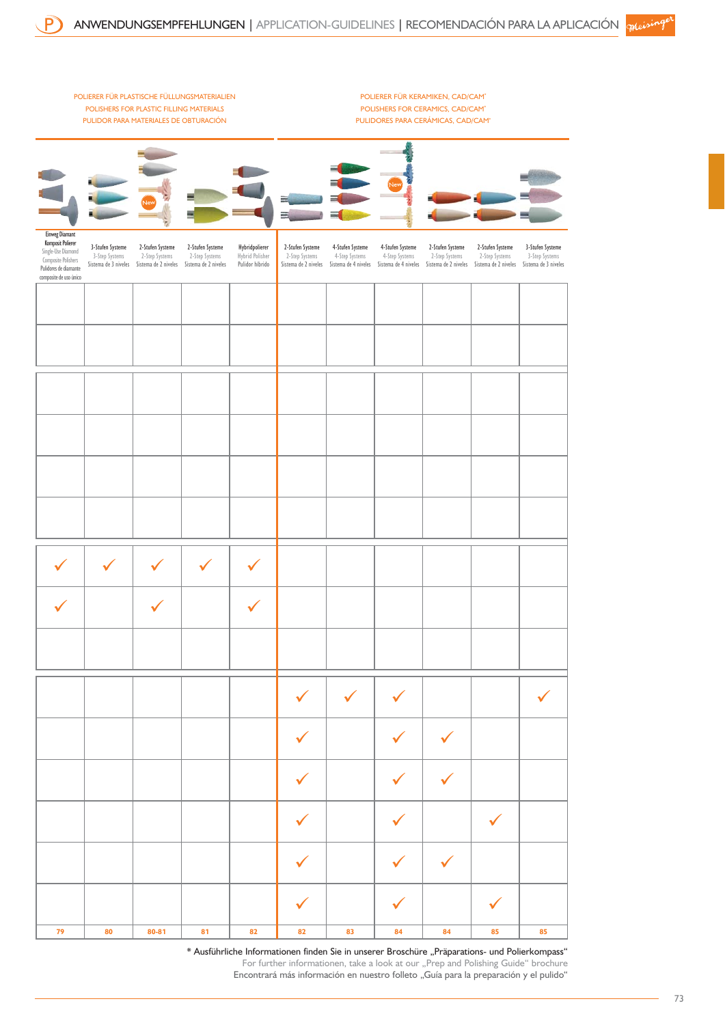

\* Ausführliche Informationen finden Sie in unserer Broschüre "Präparations- und Polierkompass" For further informationen, take a look at our "Prep and Polishing Guide" brochure Encontrará más información en nuestro folleto "Guía para la preparación y el pulido"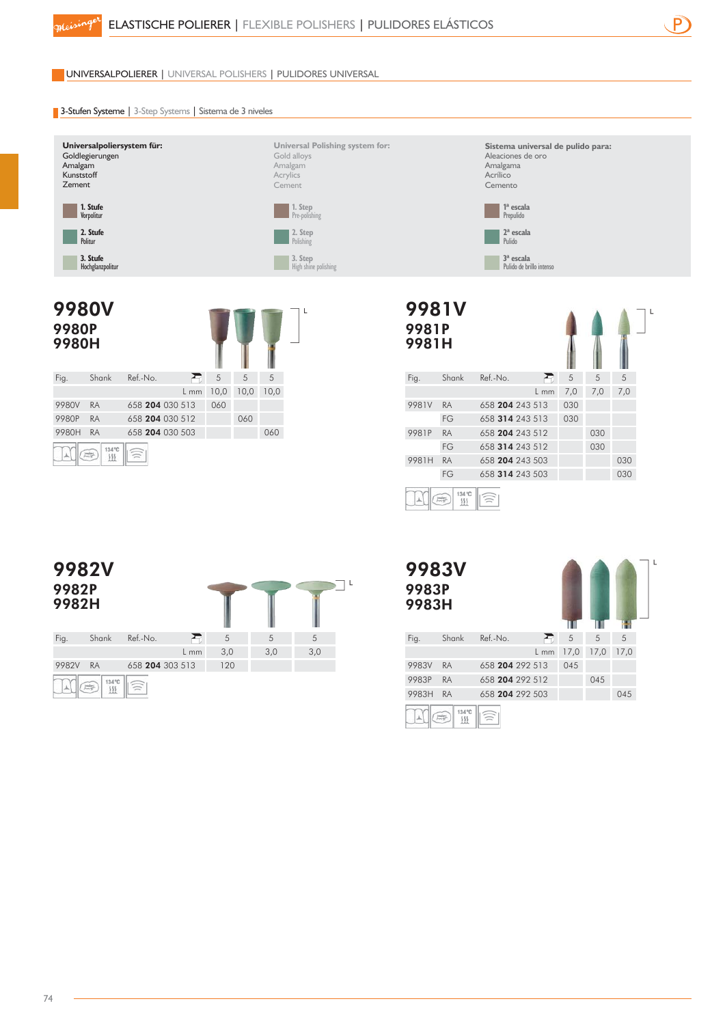

UNIVERSALPOLIERER | UNIVERSAL POLISHERS | PULIDORES UNIVERSAL

### **3-Stufen Systeme** | 3-Step Systems | Sistema de 3 niveles



**Universal Polishing system for:** Gold alloys Amalgam **Acrylics** Cement





|                         |                  | $3a$ escala     | Pulido de brillo intenso |     |     |     |   |
|-------------------------|------------------|-----------------|--------------------------|-----|-----|-----|---|
| 9981V<br>9981P<br>9981H |                  |                 |                          |     |     |     | L |
| Fig.                    | Shank            | Ref.-No.        |                          | 5   | 5   | 5   |   |
|                         |                  |                 | $L$ mm                   | 7,0 | 7,0 | 7,0 |   |
| 9981V                   | <b>RA</b>        | 658 204 243 513 |                          | 030 |     |     |   |
|                         | FG               | 658 314 243 513 |                          | 030 |     |     |   |
| 9981P                   | <b>RA</b>        | 658 204 243 512 |                          |     | 030 |     |   |
|                         | FG               | 658 314 243 512 |                          |     | 030 |     |   |
| 9981H                   | <b>RA</b>        | 658 204 243 503 |                          |     |     | 030 |   |
|                         | FG               | 658 314 243 503 |                          |     |     | 030 |   |
|                         | 134 °C<br>農<br>进 |                 |                          |     |     |     |   |

**Sistema universal de pulido para:**

Aleaciones de oro Amalgama Acrílico Cemento

> **1ª escala** Prepulido **2ª escala** Pulido

#### 9982V  $\sum$ 9982P 9982H Fig. Shank Ref.-No.  $\sum_{i=1}^{n}$ 5 5 5 3,0 3,0 3,0 L mm 9982V RA 658 204 303 513 120

| RA | 658 204 |  |
|----|---------|--|
|    |         |  |

 $\mathbb{R}$ 

| <b>9983V</b> |
|--------------|
| 9983P        |
| 9983H        |

9983V RA 9983P 9983H RA



 $\begin{array}{c}\n134^{\circ}\text{C} \\
\underline{\text{III}}\n\end{array}$ 霹  $\blacktriangle$ 

介

RA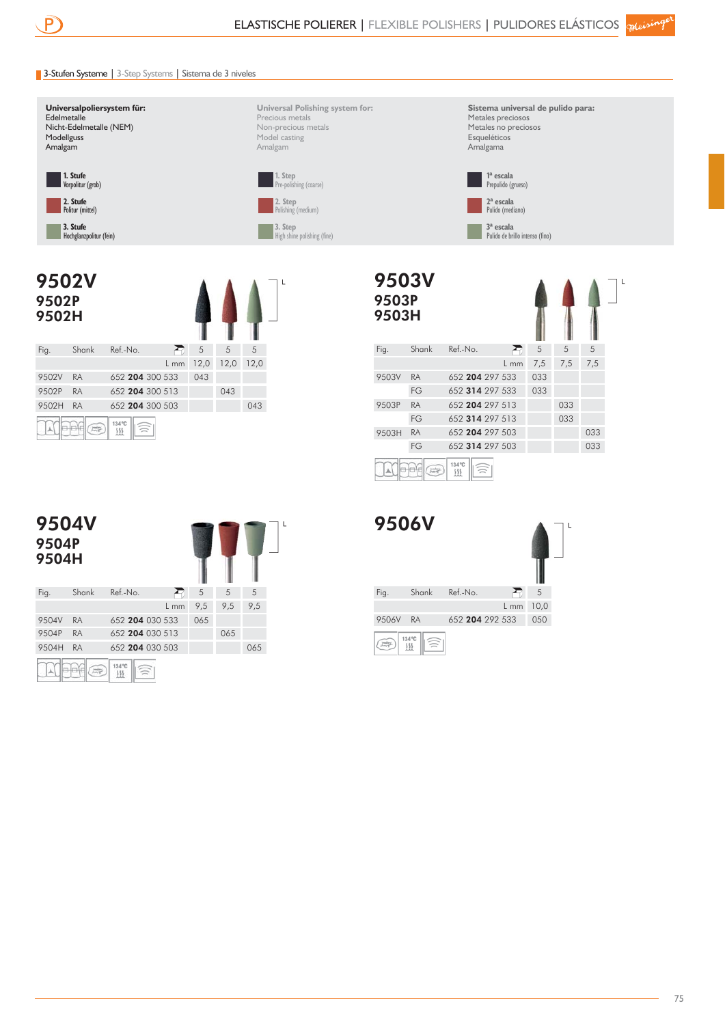9503V

## 3-Stufen Systeme | 3-Step Systems | Sistema de 3 niveles



Politur (mittel)

**3. Stufe** Hochglanzpolitur (fein)

**Universal Polishing system for:** Precious metals Non-precious metals Model casting Amalgam



 $\mathbf{I}$ 

**Sistema universal de pulido para:** Metales preciosos Metales no preciosos **Esqueléticos** Amalgama

 $\Lambda$ <sup>-</sup>

 $\mathsf{L}$ 





| 9503P<br>9503H |           |                 |        |     |     |     |
|----------------|-----------|-----------------|--------|-----|-----|-----|
| Fig.           | Shank     | Ref.-No.        | €      | 5   | 5   | 5   |
|                |           |                 | $L$ mm | 7,5 | 7,5 | 7,5 |
| 9503V          | <b>RA</b> | 652 204 297 533 |        | 033 |     |     |
|                | FG        | 652 314 297 533 |        | 033 |     |     |
| 9503P          | <b>RA</b> | 652 204 297 513 |        |     | 033 |     |
|                | FG        | 652 314 297 513 |        |     | 033 |     |
| 9503H          | <b>RA</b> | 652 204 297 503 |        |     |     | 033 |
|                | FG        | 652 314 297 503 |        |     |     | 033 |
|                | 蒜         | 134 °C<br>333   |        |     |     |     |



| <b>9506V</b> |           |          |                 |      |  |
|--------------|-----------|----------|-----------------|------|--|
| Fig.         | Shank     | Ref.-No. |                 | 5    |  |
|              |           |          | $L$ mm          | 10,0 |  |
| 9506V        | <b>RA</b> |          | 652 204 292 533 | 050  |  |
|              | 134 °C    |          |                 |      |  |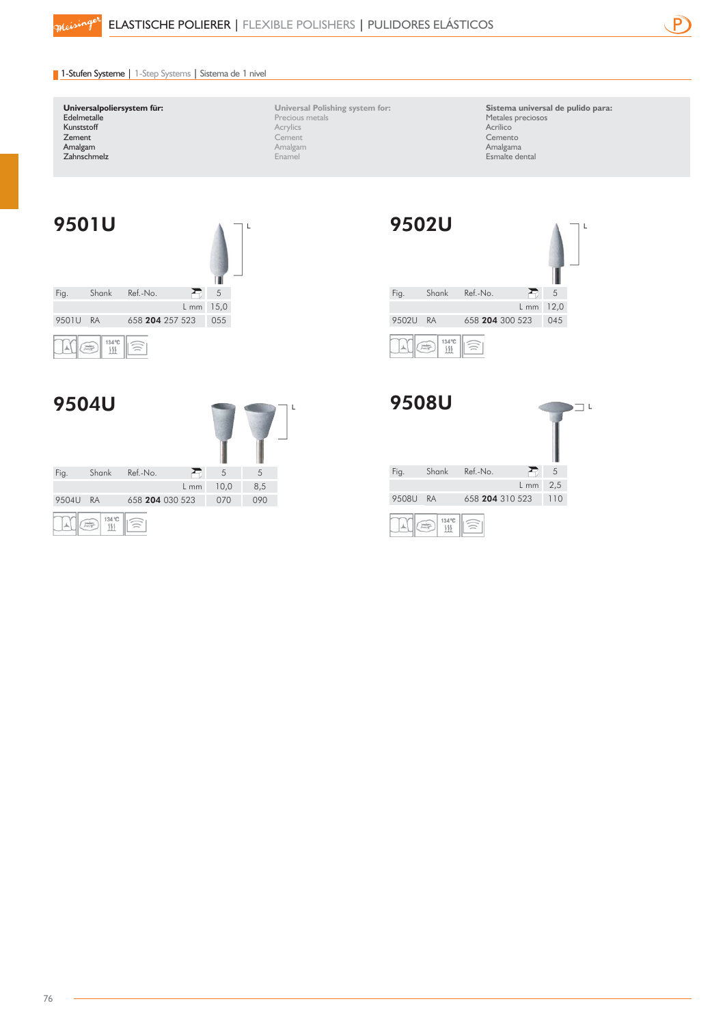

## 1-Stufen Systeme | 1-Step Systems | Sistema de 1 nivel

#### **Universalpoliersystem für: Edelmetalle** Kunststoff Zement Amalgam Zahnschmelz

**Universal Polishing system for:** Precious metals **Acrylics** Cement Amalgam Enamel

**Sistema universal de pulido para:**  Metales preciosos Acrílico Cemento Amalgama Esmalte dental



| <b>9504U</b> |           |                 |        |      |     |  |
|--------------|-----------|-----------------|--------|------|-----|--|
| Fig.         | Shank     | Ref.-No.        | ≺      | 5    | 5   |  |
|              |           |                 | $L$ mm | 10,0 | 8,5 |  |
| 9504U        | <b>RA</b> | 658 204 030 523 |        | 070  | 090 |  |
|              | 134 °C    |                 |        |      |     |  |



|       | <b>9508U</b> |                 |        |     |  |
|-------|--------------|-----------------|--------|-----|--|
| Fig.  | Shank        | Ref.-No.        |        | 5   |  |
|       |              |                 | $L$ mm | 2,5 |  |
| 9508U | <b>RA</b>    | 658 204 310 523 |        | 110 |  |
|       | 134 °C       |                 |        |     |  |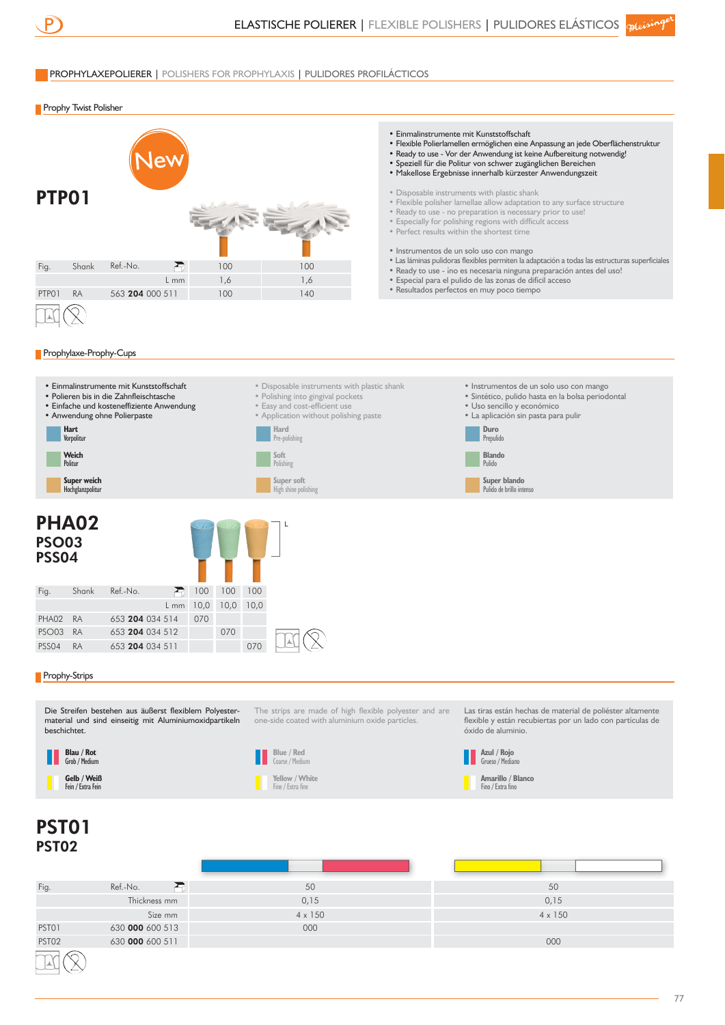

PST01 PST02 630 000 600 513 630 000 600 511

## PROPHYLAXEPOLIERER | POLISHERS FOR PROPHYLAXIS | PULIDORES PROFILÁCTICOS

**Prophy Twist Polisher** 



000

000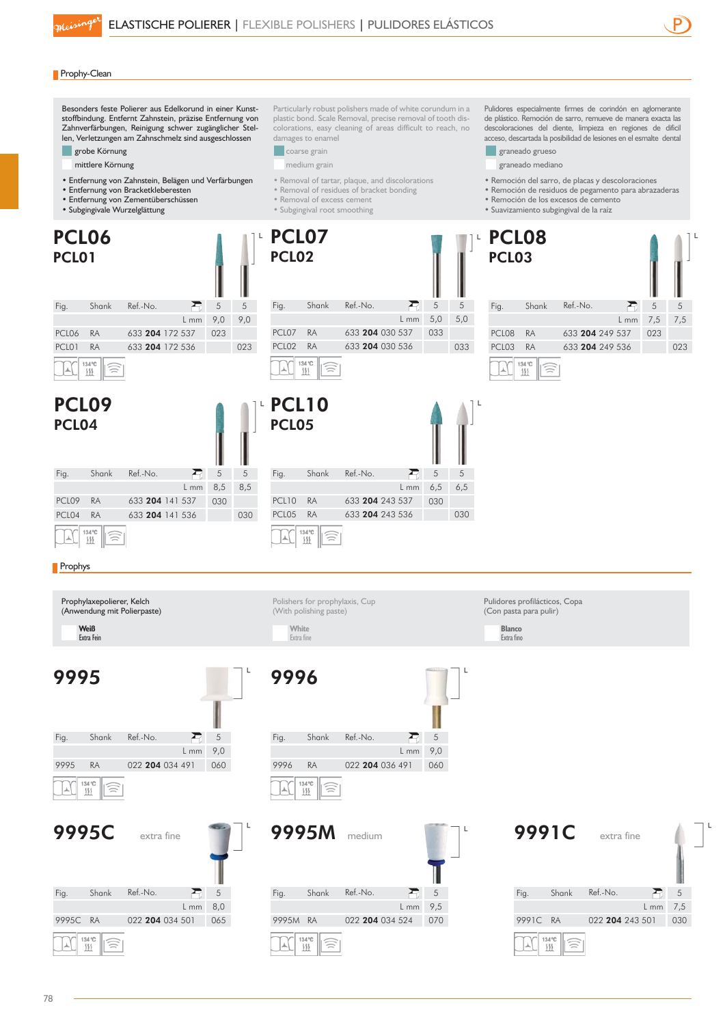

#### **Prophy-Clean**

Besonders feste Polierer aus Edelkorund in einer Kunststoffbindung. Entfernt Zahnstein, präzise Entfernung von Zahnverfärbungen, Reinigung schwer zugänglicher Stellen, Verletzungen am Zahnschmelz sind ausgeschlossen grobe Körnung

- mittlere Körnung
- Entfernung von Zahnstein, Belägen und Verfärbungen
- Entfernung von Bracketkleberesten
- Entfernung von Zementüberschüssen
- Subgingivale Wurzelglättung
- 

Particularly robust polishers made of white corundum in a plastic bond. Scale Removal, precise removal of tooth discolorations, easy cleaning of areas difficult to reach, no damages to enamel

- **coarse** grain
- medium grain
- Removal of tartar, plaque, and discolorations
- Removal of residues of bracket bonding
- Removal of excess cement
- Subgingival root smoothing

Pulidores especialmente firmes de corindón en aglomerante de plástico. Remoción de sarro, remueve de manera exacta las descoloraciones del diente, limpieza en regiones de dificil acceso, descartada la posibilidad de lesiones en el esmalte dental

- **graneado** grueso
- graneado mediano
- Remoción del sarro, de placas y descoloraciones
- Remoción de residuos de pegamento para abrazaderas
- Remoción de los excesos de cemento
- Suavizamiento subgingival de la raíz

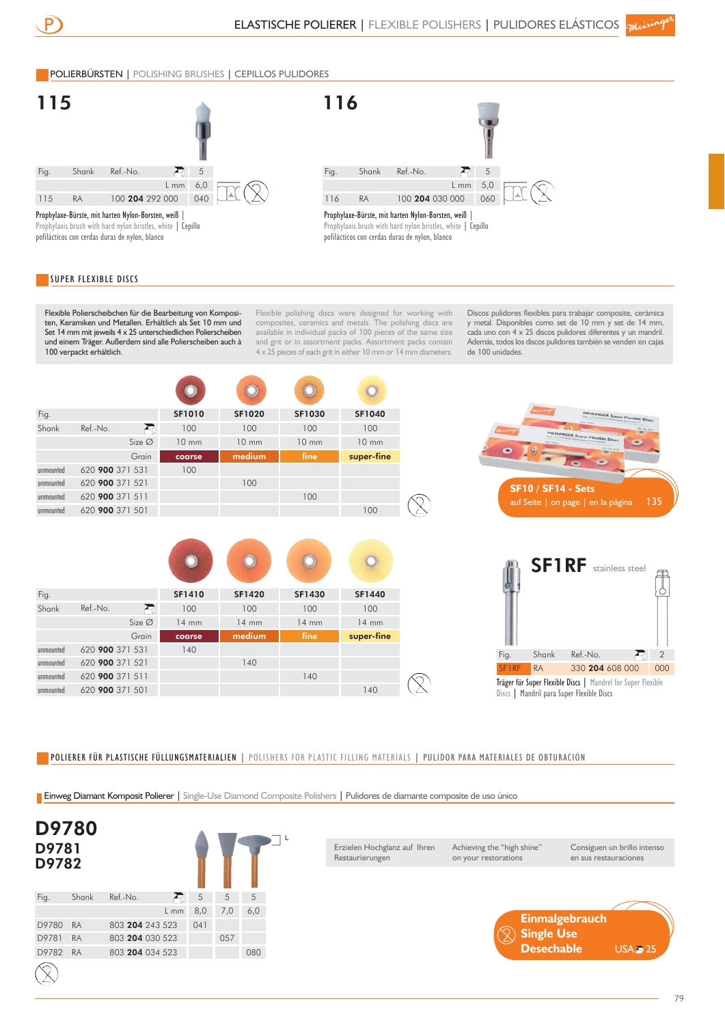## POLIERBÜRSTEN | POLISHING BRUSHES | CEPILLOS PULIDORES





### SUPER FLEXIBLE DISCS

pofiláctícos con cerdas duras de nylon, blanco

Flexible Polierscheibchen für die Bearbeitung von Kompositen, Keramiken und Metallen. Erhältlich als Set 10 mm und Set 14 mm mit jeweils 4 x 25 unterschiedlichen Polierscheiben und einem Träger. Außerdem sind alle Polierscheiben auch à 100 verpackt erhältlich.

Flexible polishing discs were designed for working with composites, ceramics and metals. The polishing discs are available in individual packs of 100 pieces of the same size and grit or in assortment packs. Assortment packs contain 4 x 25 pieces of each grit in either 10 mm or 14 mm diameters.

Discos pulidores flexibles para trabajar composite, cerámica y metal. Disponibles como set de 10 mm y set de 14 mm, cada uno con 4 x 25 discos pulidores diferentes y un mandril. Además, todos los discos pulidores también se venden en cajas de 100 unidades.

| Fig.      |                 |                    | <b>SF1010</b>   | <b>SF1020</b>   | SF1030          | <b>SF1040</b>   |
|-----------|-----------------|--------------------|-----------------|-----------------|-----------------|-----------------|
| Shank     | Ref.-No.        | Ð                  | 100             | 100             | 100             | 100             |
|           |                 | Size Ø             | $10 \text{ mm}$ | $10 \text{ mm}$ | $10 \text{ mm}$ | $10 \text{ mm}$ |
|           |                 | Grain              | coarse          | medium          | fine            | super-fine      |
| unmounted | 620 900 371 531 |                    | 100             |                 |                 |                 |
| unmounted | 620 900 371 521 |                    |                 | 100             |                 |                 |
| unmounted | 620 900 371 511 |                    |                 |                 | 100             |                 |
| unmounted | 620 900 371 501 |                    |                 |                 |                 | 100             |
| Fig.      |                 |                    | SF1410          | <b>SF1420</b>   | SF1430          | <b>SF1440</b>   |
| Shank     | Ref.-No.        | Ð                  | 100             | 100             | 100             | 100             |
|           |                 | Size $\varnothing$ | $14 \text{ mm}$ | $14 \text{ mm}$ | $14$ mm         | $14 \text{ mm}$ |
|           |                 | Grain              | coarse          | medium          | fine            | super-fine      |
| unmounted | 620 900 371 531 |                    | 140             |                 |                 |                 |
| unmounted | 620 900 371 521 |                    |                 | 140             |                 |                 |
| unmounted | 620 900 371 511 |                    |                 |                 | 140             |                 |
| unmounted | 620 900 371 501 |                    |                 |                 |                 | 140             |

POLIERER FÜR PLASTISCHE FÜLLUNGSMATERIALIEN | POLISHERS FOR PLASTIC FILLING MATERIALS | PULIDOR PARA MATERIALES DE OBTURACIÓN

Einweg Diamant Komposit Polierer | Single-Use Diamond Composite Polishers | Pulidores de diamante composite de uso único

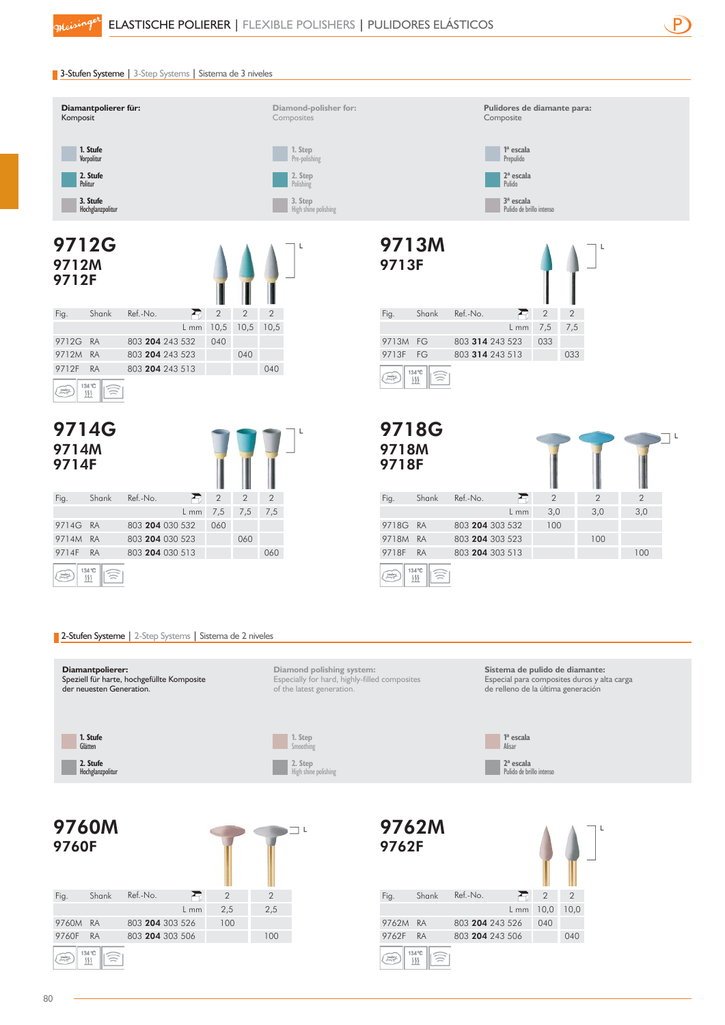

## 3-Stufen Systeme | 3-Step Systems | Sistema de 3 niveles











**1ª escala** Alisar **2ª escala** Pulido de brillo intenso

**1. Stufe** Glätten **2. Stufe** Hochglanzpolitur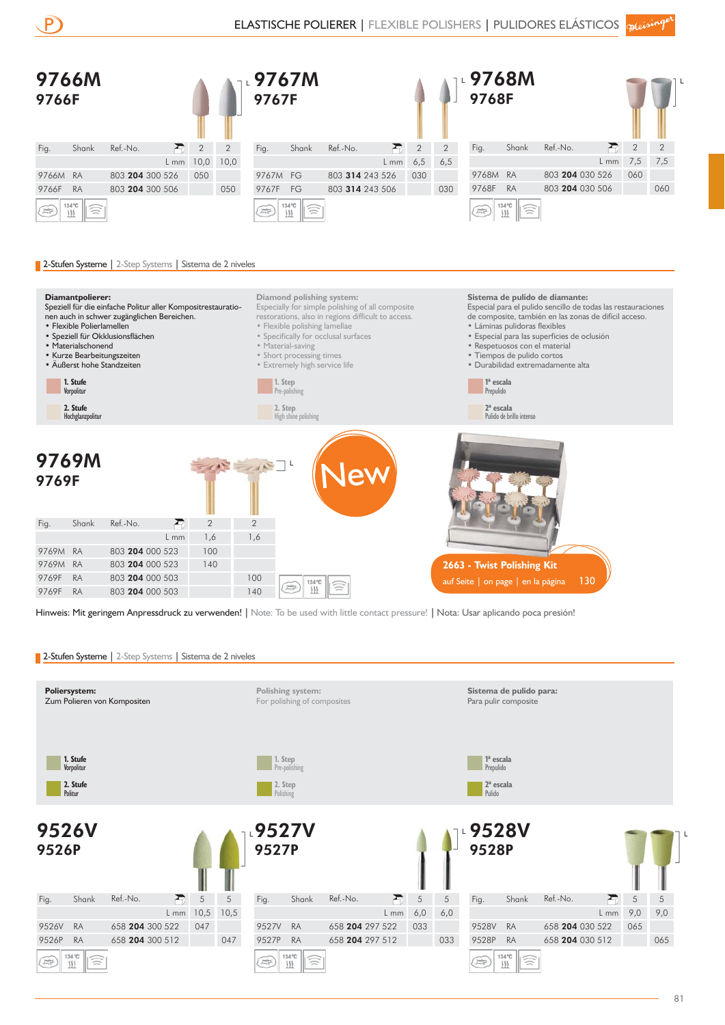





• Flexible Polierlamellen

- 
- Materialschonend
- 
- 

Fig. Shank Ref.-No.

• Flexible polishing lamellae • Láminas pulidoras flexibles • Speziell für Okklusionsflächen • Especial para las superficies de oclusión • Specifically for occlusal surfaces • Material-saving • Respetuosos con el material • Short processing times • Kurze Bearbeitungszeiten • Tiempos de pulido cortos • Äußerst hohe Standzeiten • Extremely high service life • Durabilidad extremadamente alta **1. Stufe 1ª escala 1. Step** Pre-polishing Prepulido **Vorpolitur 2. Step 2. Stufe 2ª escala** High shine polishing Hochglanzpolitu 9769M 9769F

> 2 2 1,6 1,6

Pulido de brillo intenso **2663 - Twist Polishing Kit** 

auf Seite | on page | en la página 130

Hinweis: Mit geringem Anpressdruck zu verwenden! | Note: To be used with little contact pressure! | Nota: Usar aplicando poca presión!

 $\frac{1}{2\sqrt{2\pi}}\frac{1}{\sqrt{2\pi}}$  $111$ 

134 °C

Ξ

2-Stufen Systeme | 2-Step Systems | Sistema de 2 niveles

9769F RA 803 204 000 503 100

9769F RA 803 204 000 503 140

9769M RA 803 204 000 523 100

9769M RA 803 204 000 523 140

L mm

 $\overline{ }$ 

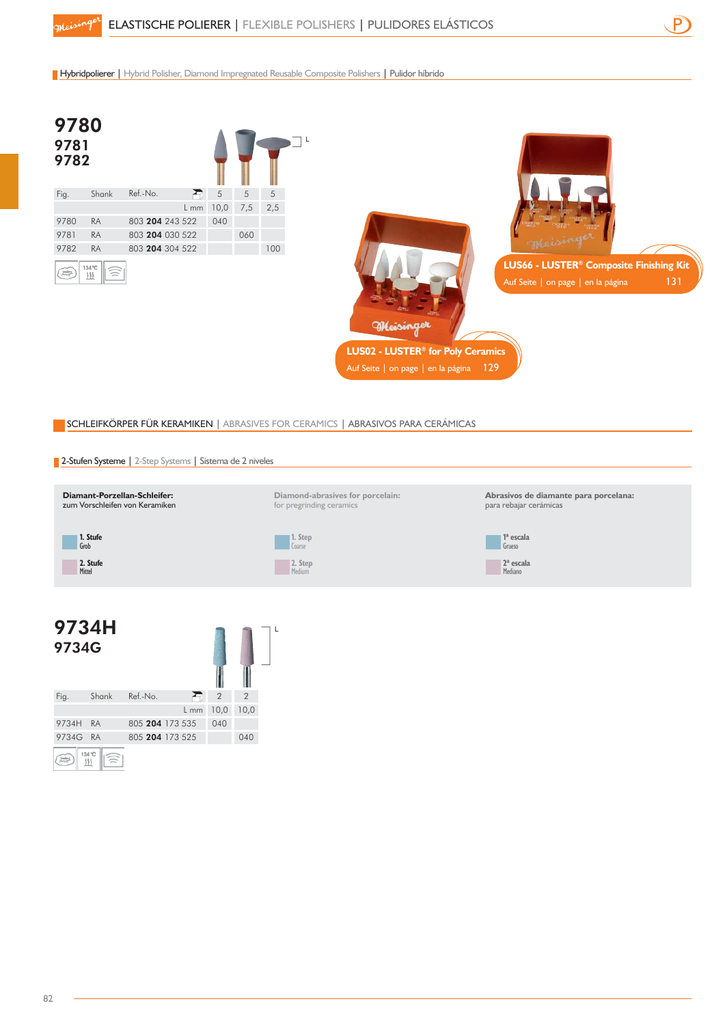Hybridpolierer | Hybrid Polisher, Diamond Impregnated Reusable Composite Polishers | Pulidor híbrido



## SCHLEIFKÖRPER FÜR KERAMIKEN | ABRASIVES FOR CERAMICS | ABRASIVOS PARA CERÁMICAS





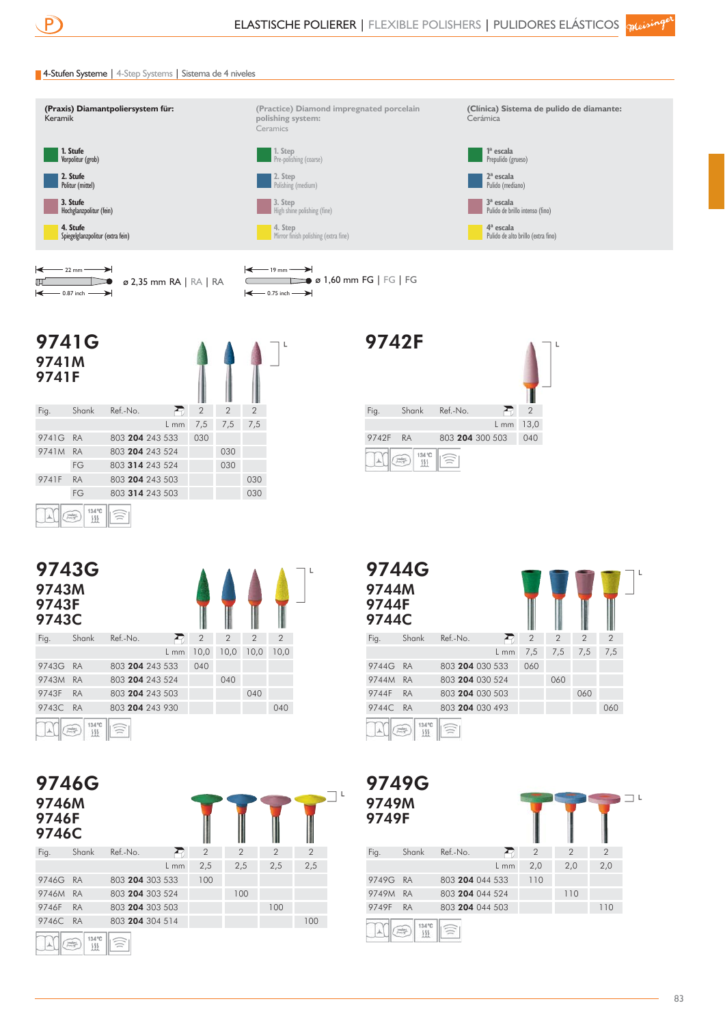## 4-Stufen Systeme | 4-Step Systems | Sistema de 4 niveles



| $\leftarrow$ 22 mm $\rightarrow$     |                                                 |  |  |
|--------------------------------------|-------------------------------------------------|--|--|
| 肛                                    | $\triangleright$ $\bullet$ 2,35 mm RA   RA   RA |  |  |
| $\leftarrow$ 0.87 inch $\rightarrow$ |                                                 |  |  |



 $\mathbf{r}$ 

ΊL

 $\bullet$  *ø* 1,60 mm FG | FG | FG

| 9741G<br>9741M<br>9741F |                        |                 |        |                |                |                |  |
|-------------------------|------------------------|-----------------|--------|----------------|----------------|----------------|--|
| Fig.                    | Shank                  | Ref.-No.        | €      | $\overline{2}$ | $\overline{2}$ | $\overline{2}$ |  |
|                         |                        |                 | $L$ mm | 7,5            | 7,5            | 7,5            |  |
| 9741G                   | <b>RA</b>              | 803 204 243 533 |        | 030            |                |                |  |
| 9741M                   | <b>RA</b>              | 803 204 243 524 |        |                | 030            |                |  |
|                         | FG                     | 803 314 243 524 |        |                | 030            |                |  |
| 9741F                   | <b>RA</b>              | 803 204 243 503 |        |                |                | 030            |  |
|                         | FG                     | 803 314 243 503 |        |                |                | 030            |  |
|                         | 134 °C<br><b>Index</b> |                 |        |                |                |                |  |

 $\begin{tabular}{|c|c|c|c|c|} \hline $\mathbb{A}$ & $\mathbb{B}^{\mathbb{C}}$ & $\mathbb{B}^{\mathbb{C}}$ & $\mathbb{B}^{\mathbb{C}}$ \\ \hline $\mathbb{B}^{\mathbb{C}}$ & $\mathbb{B}^{\mathbb{C}}$ & $\mathbb{B}^{\mathbb{C}}$ & $\mathbb{B}^{\mathbb{C}}$ & $\mathbb{B}^{\mathbb{C}}$ \\ \hline $\mathbb{B}^{\mathbb{C}}$ & $\mathbb{B}^{\mathbb{C}}$ & $\mathbb{B}^{\mathbb{C}}$ & $\mathbb{B}^{\mathbb{C}}$ & $\mathbb{B}$ 

| 9743G<br>9743M<br>9743F<br>9743C |                    |                 |        |                |                |                | ۰              |
|----------------------------------|--------------------|-----------------|--------|----------------|----------------|----------------|----------------|
| Fig.                             | Shank              | Ref.-No.        |        | $\overline{2}$ | $\overline{2}$ | $\overline{2}$ | $\overline{2}$ |
|                                  |                    |                 | $L$ mm | 10,0           | 10,0           | 10,0           | 10,0           |
| 9743G                            | <b>RA</b>          | 803 204 243 533 |        | 040            |                |                |                |
| 9743M                            | <b>RA</b>          | 803 204 243 524 |        |                | 040            |                |                |
| 9743F                            | <b>RA</b>          | 803 204 243 503 |        |                |                | 040            |                |
| 9743C                            | <b>RA</b>          | 803 204 243 930 |        |                |                |                | 040            |
|                                  | 134 °C<br>震<br>111 |                 |        |                |                |                |                |

9746G 9746M 9746F

| <b>9746F</b><br>9746C |        |                 |        |                |                |                |                |
|-----------------------|--------|-----------------|--------|----------------|----------------|----------------|----------------|
| Fig.                  | Shank  | Ref.-No.        | ×ō.    | $\overline{2}$ | $\overline{2}$ | $\overline{2}$ | $\overline{2}$ |
|                       |        |                 | $L$ mm | 2,5            | 2,5            | 2,5            | 2,5            |
| 9746G RA              |        | 803 204 303 533 |        | 100            |                |                |                |
| 9746M                 | RA     | 803 204 303 524 |        |                | 100            |                |                |
| 9746F                 | RA     | 803 204 303 503 |        |                |                | 100            |                |
| 9746C RA              |        | 803 204 304 514 |        |                |                |                | 100            |
|                       | 134 °C |                 |        |                |                |                |                |



| <b>9744G</b><br>9744M<br>9744F<br>9744C |                  |                 |        |                |                |                |                |  |
|-----------------------------------------|------------------|-----------------|--------|----------------|----------------|----------------|----------------|--|
| Fig.                                    | Shank            | Ref.-No.        |        | $\overline{2}$ | $\overline{2}$ | $\overline{2}$ | $\overline{2}$ |  |
|                                         |                  |                 | $L$ mm | 7,5            | 7,5            | 7,5            | 7,5            |  |
| 9744G                                   | <b>RA</b>        | 803 204 030 533 |        | 060            |                |                |                |  |
| 9744M                                   | <b>RA</b>        | 803 204 030 524 |        |                | 060            |                |                |  |
| 9744F                                   | <b>RA</b>        | 803 204 030 503 |        |                |                | 060            |                |  |
| 9744C                                   | <b>RA</b>        | 803 204 030 493 |        |                |                |                | 060            |  |
|                                         | 134 °C<br>蒜<br>Ш |                 |        |                |                |                |                |  |

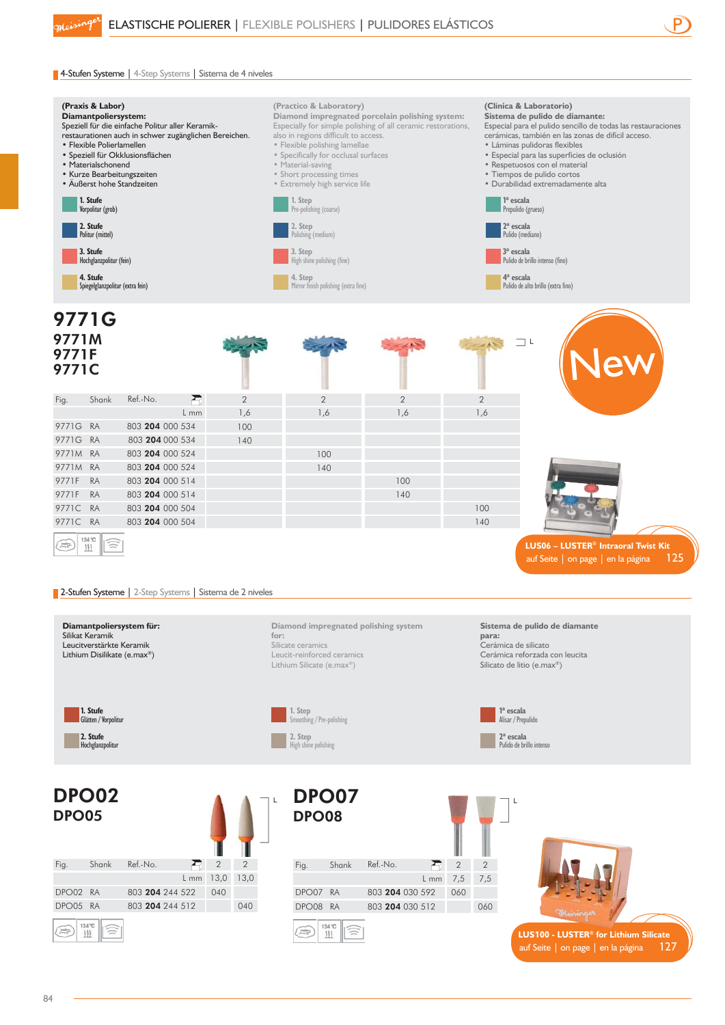

auf Seite | on page | en la página  $127$ 

## 4-Stufen Systeme | 4-Step Systems | Sistema de 4 niveles



84